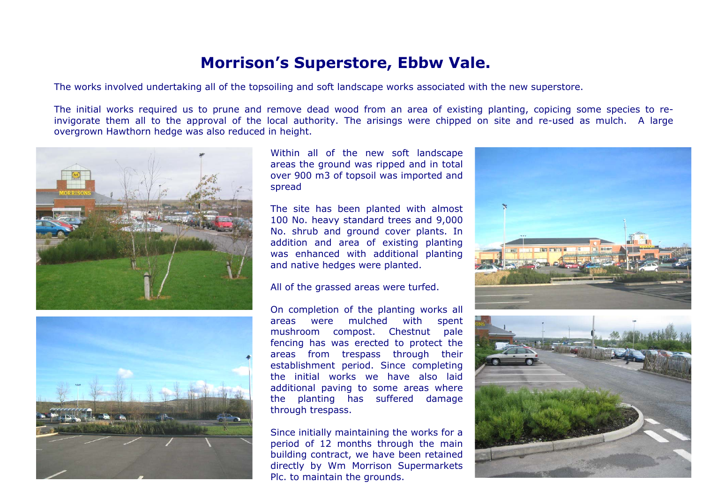## **Morrison's Superstore, Ebbw Vale.**

The works involved undertaking all of the topsoiling and soft landscape works associated with the new superstore.

The initial works required us to prune and remove dead wood from an area of existing planting, copicing some species to reinvigorate them all to the approval of the local authority. The arisings were chipped on site and re-used as mulch. A large overgrown Hawthorn hedge was also reduced in height.





Within all of the new soft landscape areas the ground was ripped and in total over 900 m3 of topsoil was imported and spread

The site has been planted with almost 100 No. heavy standard trees and 9,000 No. shrub and ground cover plants. In addition and area of existing planting was enhanced with additional planting and native hedges were planted.

All of the grassed areas were turfed.

On completion of the planting works all areas were mulched with spent mushroom compost. Chestnut pale fencing has was erected to protect the areas from trespass through their establishment period. Since completing the initial works we have also laid additional paving to some areas where the planting has suffered damage through trespass.

Since initially maintaining the works for a period of 12 months through the main building contract, we have been retained directly by Wm Morrison Supermarkets Plc. to maintain the grounds.